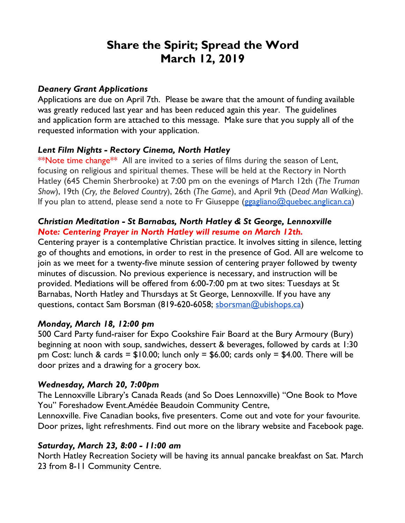# **Share the Spirit; Spread the Word March 12, 2019**

#### *Deanery Grant Applications*

Applications are due on April 7th. Please be aware that the amount of funding available was greatly reduced last year and has been reduced again this year. The guidelines and application form are attached to this message. Make sure that you supply all of the requested information with your application.

#### *Lent Film Nights - Rectory Cinema, North Hatley*

\*\*Note time change<sup>\*\*</sup> All are invited to a series of films during the season of Lent, focusing on religious and spiritual themes. These will be held at the Rectory in North Hatley (645 Chemin Sherbrooke) at 7:00 pm on the evenings of March 12th (*The Truman Show*), 19th (*Cry, the Beloved Country*), 26th (*The Game*), and April 9th (*Dead Man Walking*). If you plan to attend, please send a note to Fr Giuseppe ( $\frac{g}{g}$ gagliano@quebec.anglican.ca)

# *Christian Meditation - St Barnabas, North Hatley & St George, Lennoxville Note: Centering Prayer in North Hatley will resume on March 12th.*

Centering prayer is a contemplative Christian practice. It involves sitting in silence, letting go of thoughts and emotions, in order to rest in the presence of God. All are welcome to join as we meet for a twenty-five minute session of centering prayer followed by twenty minutes of discussion. No previous experience is necessary, and instruction will be provided. Mediations will be offered from 6:00-7:00 pm at two sites: Tuesdays at St Barnabas, North Hatley and Thursdays at St George, Lennoxville. If you have any questions, contact Sam Borsman (819-620-6058; sborsman@ubishops.ca)

# *Monday, March 18, 12:00 pm*

500 Card Party fund-raiser for Expo Cookshire Fair Board at the Bury Armoury (Bury) beginning at noon with soup, sandwiches, dessert & beverages, followed by cards at 1:30 pm Cost: lunch & cards =  $$10.00$ ; lunch only =  $$6.00$ ; cards only =  $$4.00$ . There will be door prizes and a drawing for a grocery box.

#### *Wednesday, March 20, 7:00pm*

The Lennoxville Library's Canada Reads (and So Does Lennoxville) "One Book to Move You" Foreshadow Event.Amédée Beaudoin Community Centre,

Lennoxville. Five Canadian books, five presenters. Come out and vote for your favourite. Door prizes, light refreshments. Find out more on the library website and Facebook page.

# *Saturday, March 23, 8:00 - 11:00 am*

North Hatley Recreation Society will be having its annual pancake breakfast on Sat. March 23 from 8-11 Community Centre.